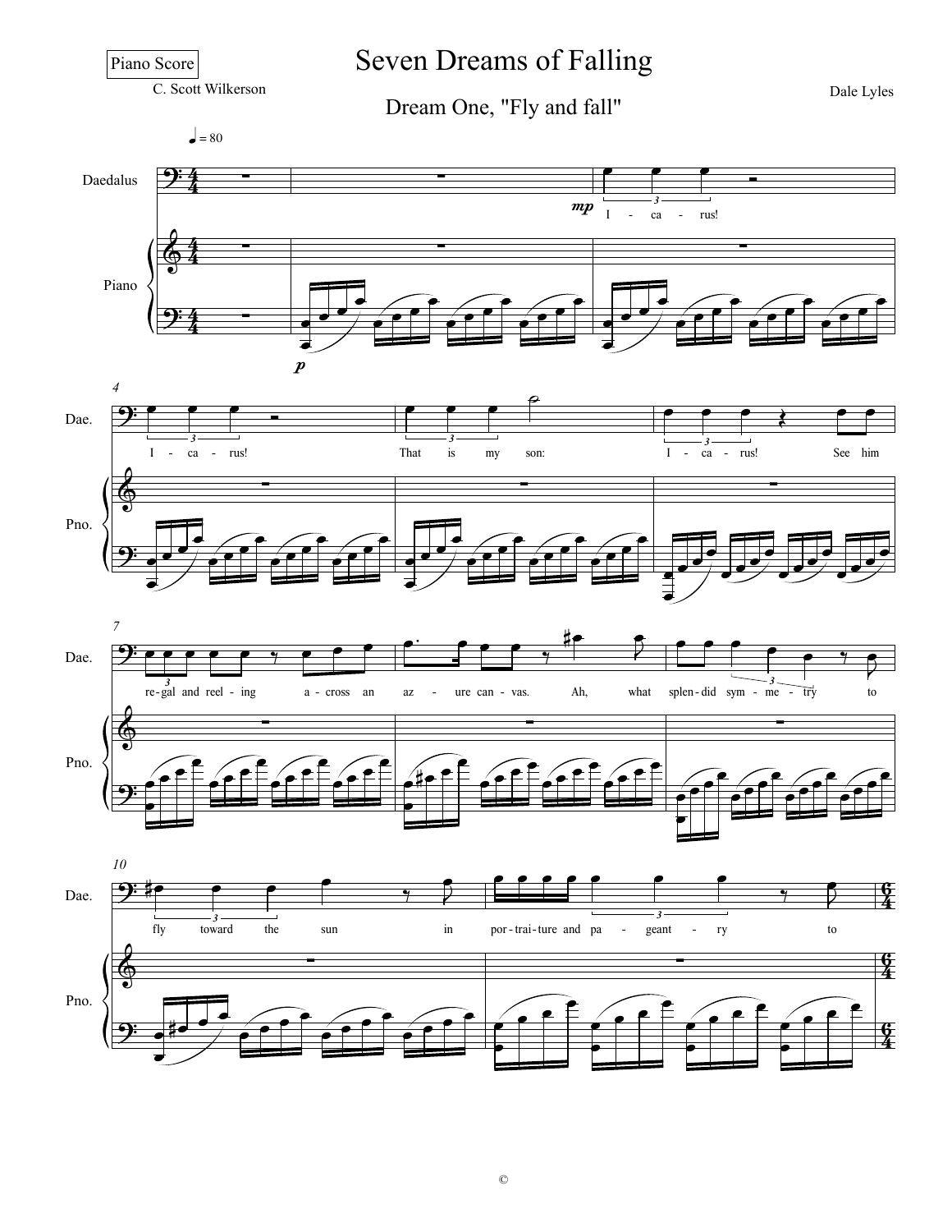Piano Score

C. Scott Wilkerson

Seven Dreams of Falling

Dream One, "Fly and fall"

Dale Lyles









©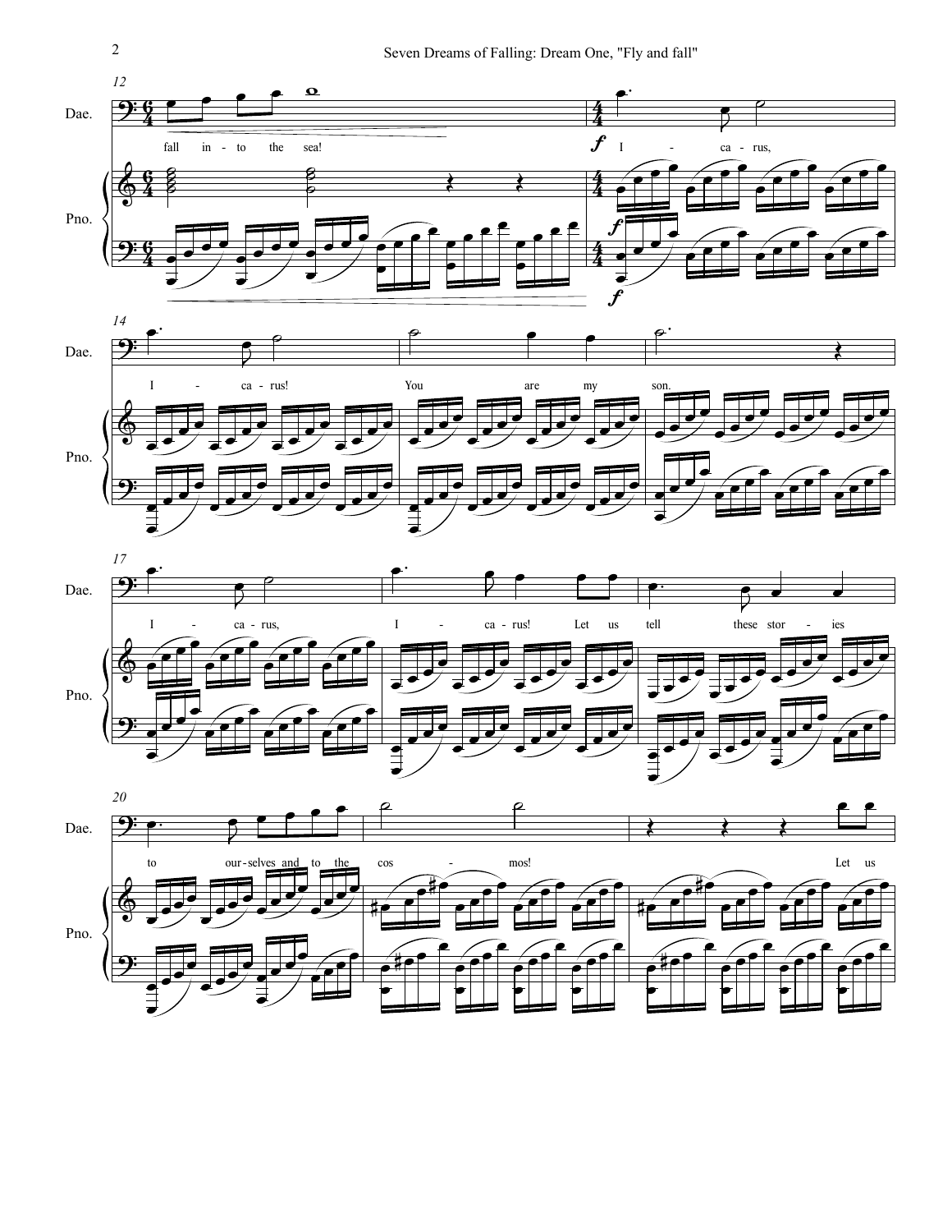



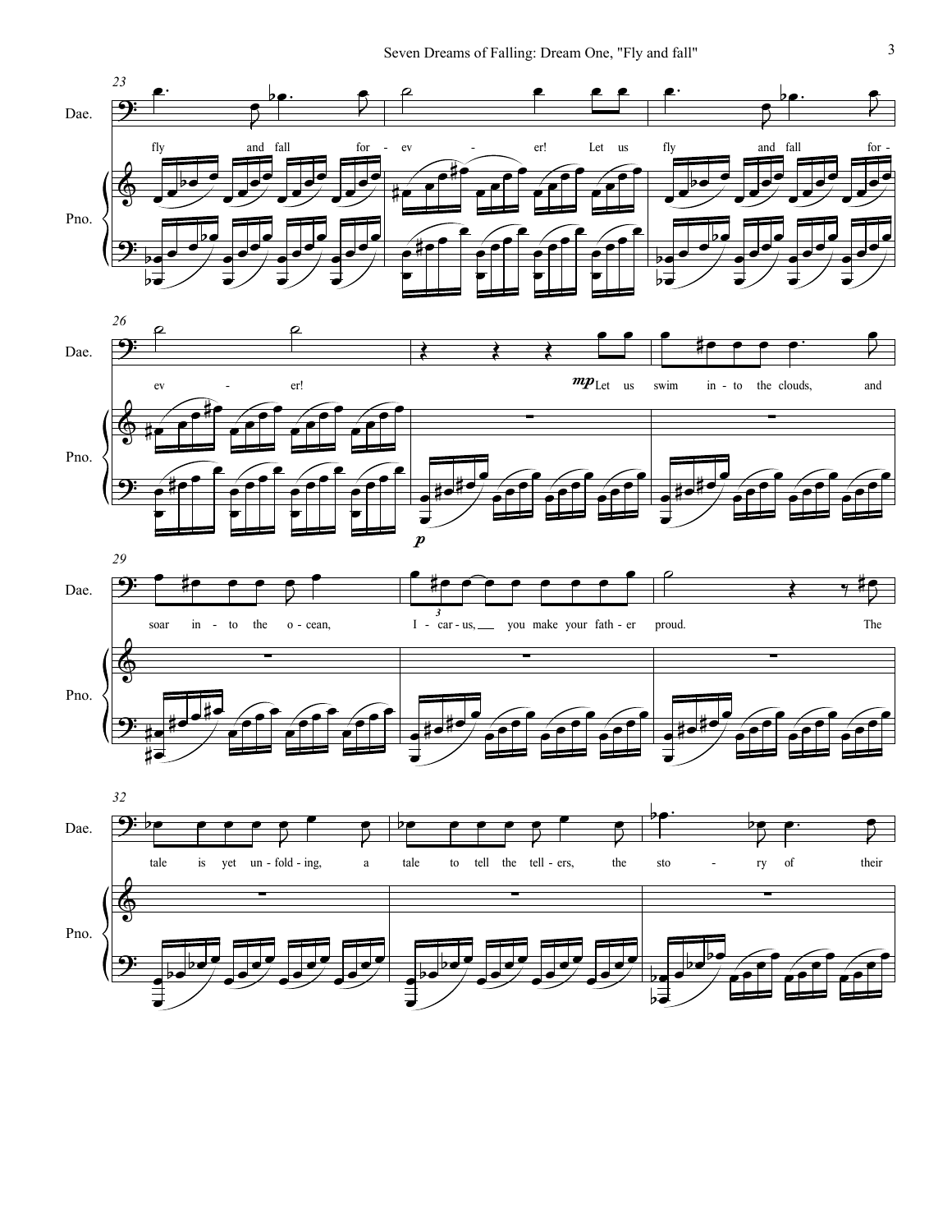





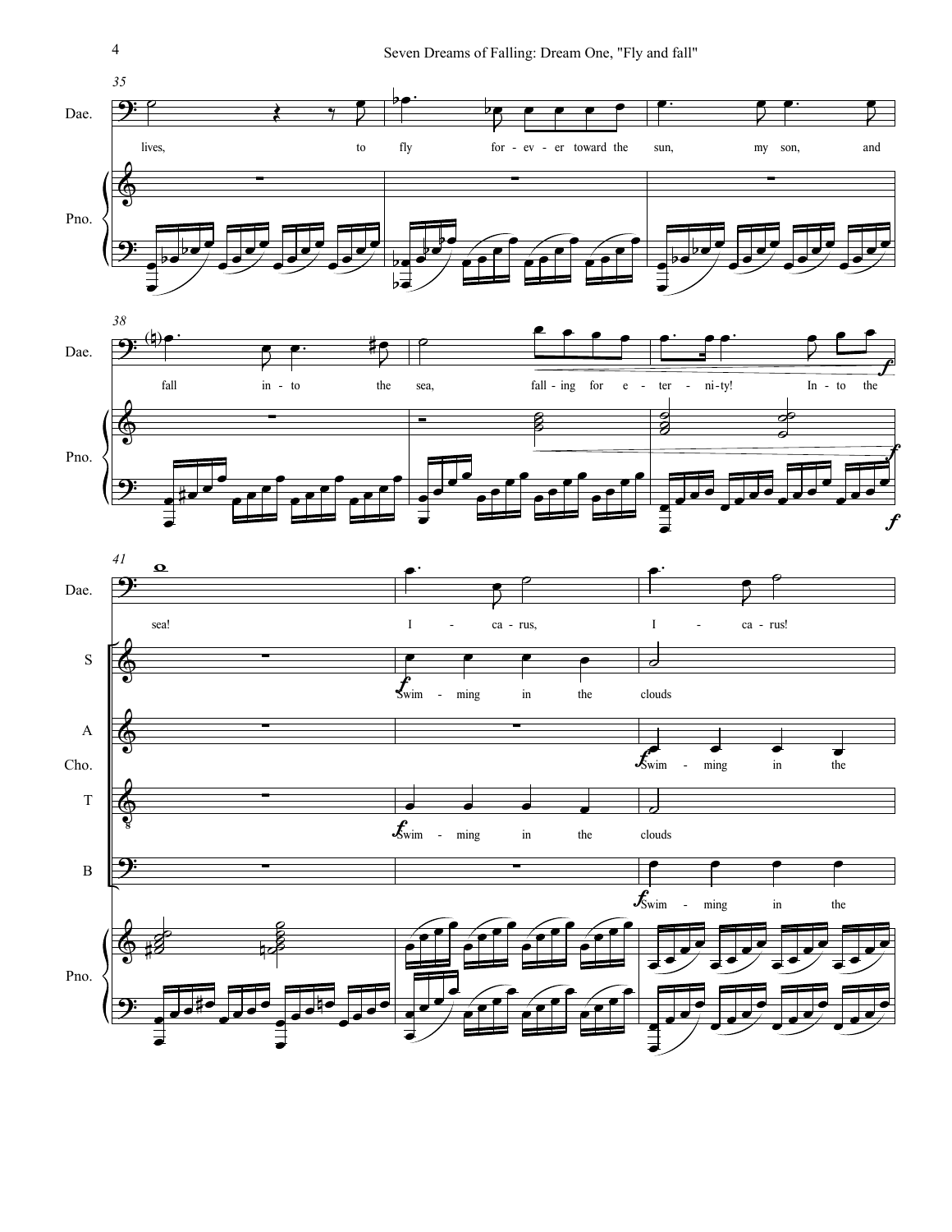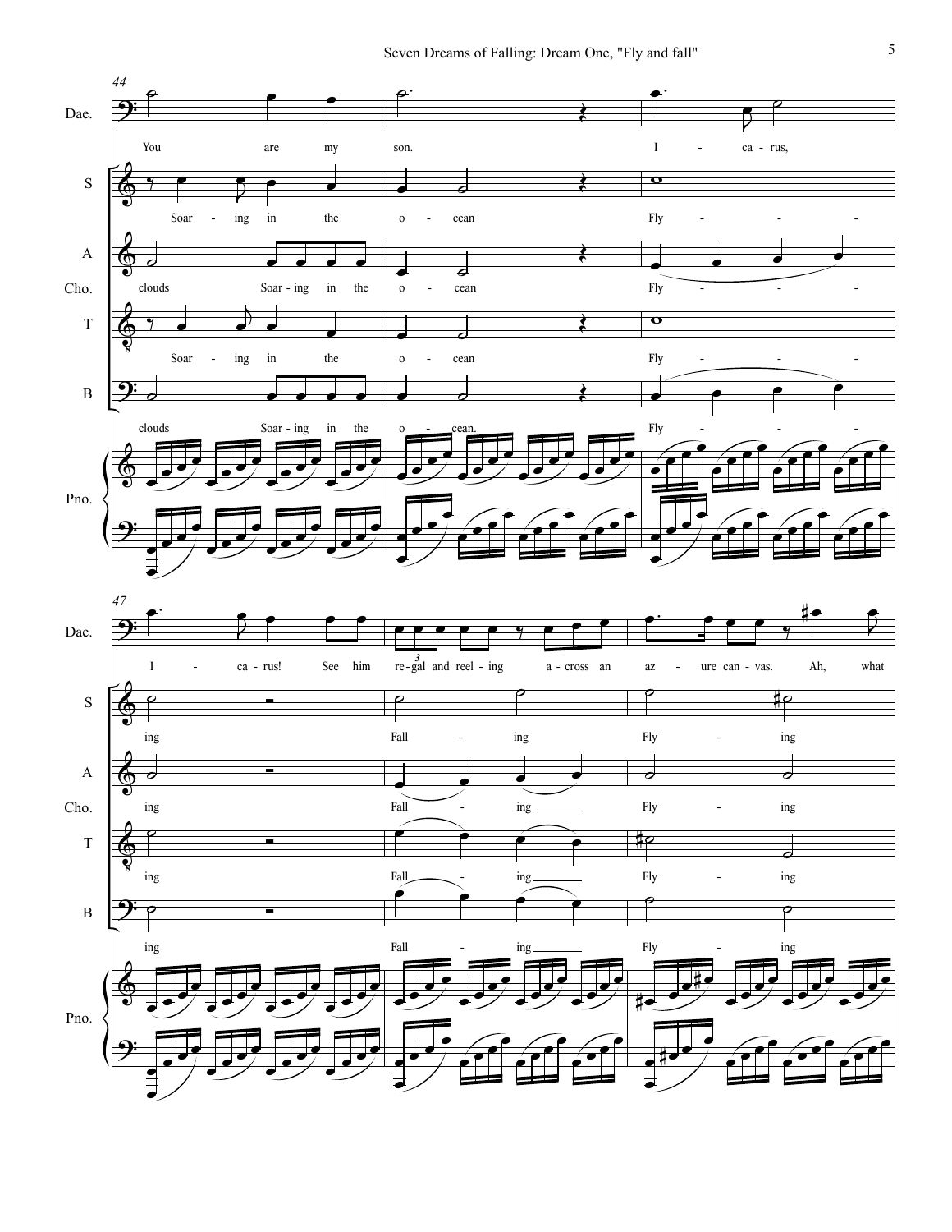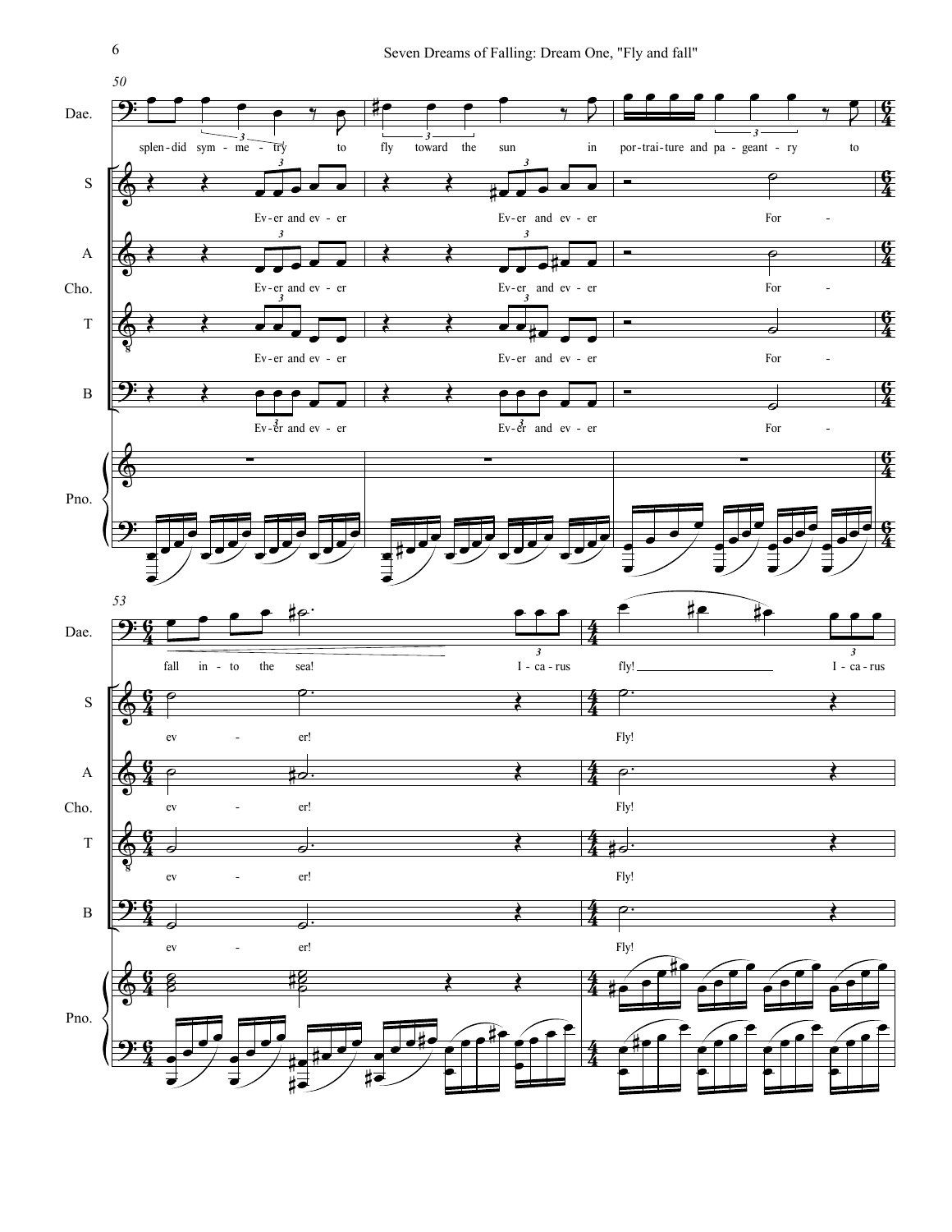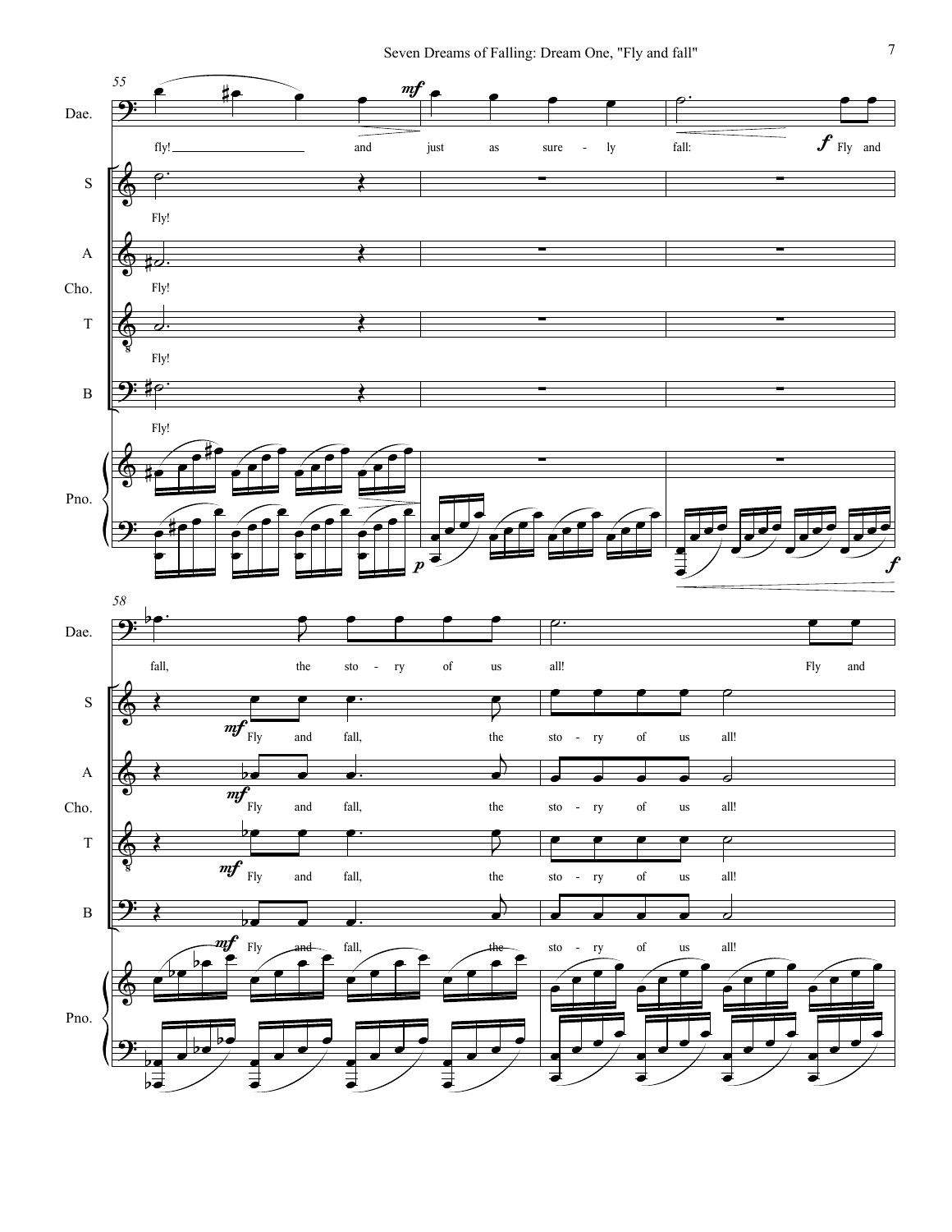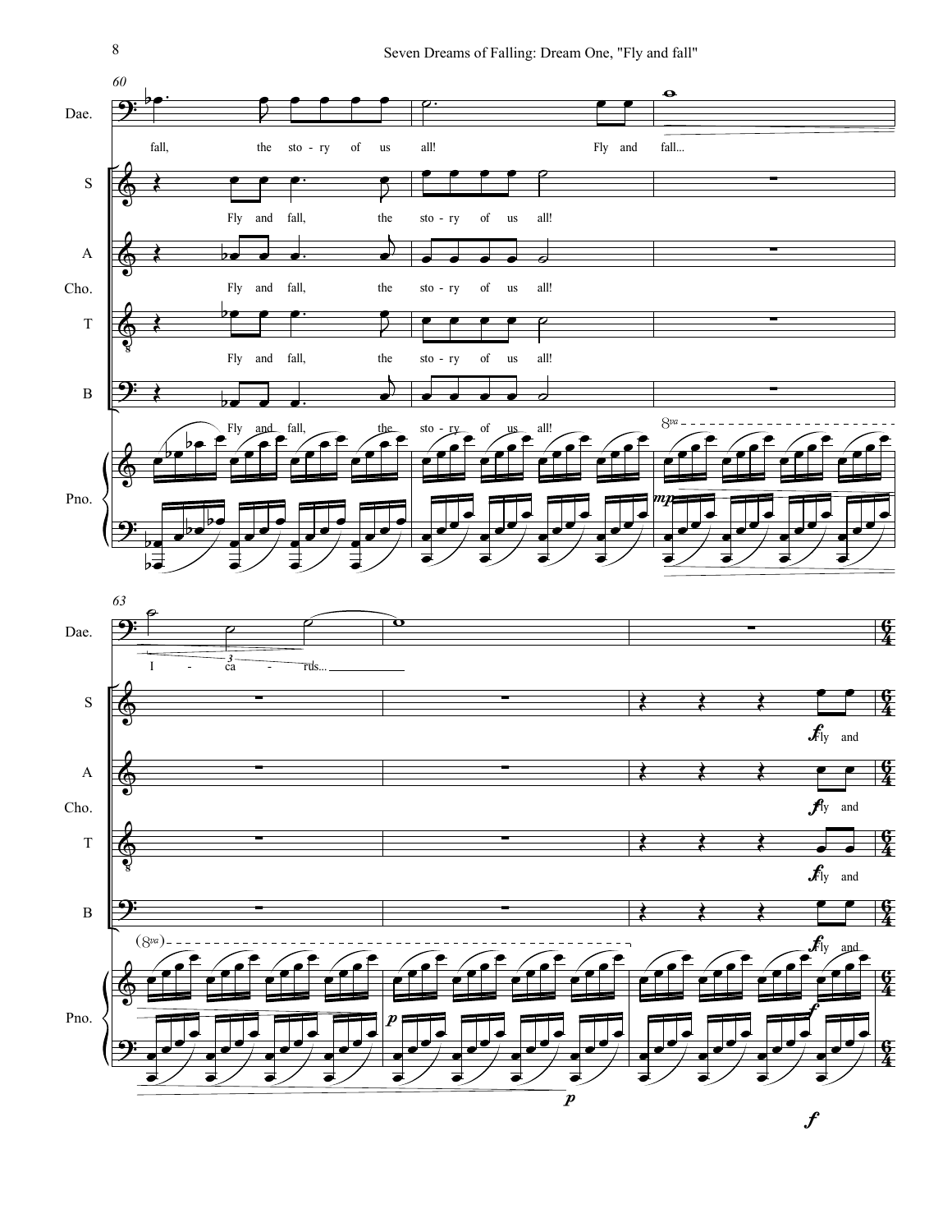